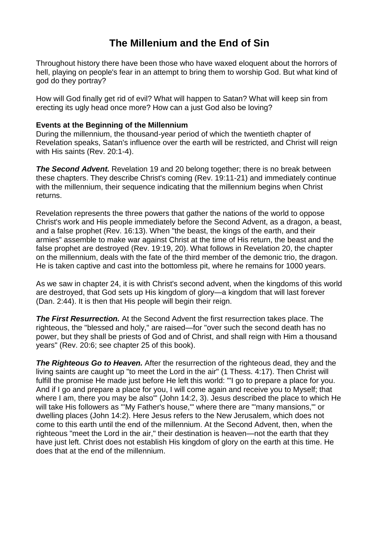## **The Millenium and the End of Sin**

Throughout history there have been those who have waxed eloquent about the horrors of hell, playing on people's fear in an attempt to bring them to worship God. But what kind of god do they portray?

How will God finally get rid of evil? What will happen to Satan? What will keep sin from erecting its ugly head once more? How can a just God also be loving?

## **Events at the Beginning of the Millennium**

During the millennium, the thousand-year period of which the twentieth chapter of Revelation speaks, Satan's influence over the earth will be restricted, and Christ will reign with His saints (Rev. 20:1-4).

**The Second Advent.** Revelation 19 and 20 belong together; there is no break between these chapters. They describe Christ's coming (Rev. 19:11-21) and immediately continue with the millennium, their sequence indicating that the millennium begins when Christ returns.

Revelation represents the three powers that gather the nations of the world to oppose Christ's work and His people immediately before the Second Advent, as a dragon, a beast, and a false prophet (Rev. 16:13). When "the beast, the kings of the earth, and their armies" assemble to make war against Christ at the time of His return, the beast and the false prophet are destroyed (Rev. 19:19, 20). What follows in Revelation 20, the chapter on the millennium, deals with the fate of the third member of the demonic trio, the dragon. He is taken captive and cast into the bottomless pit, where he remains for 1000 years.

As we saw in chapter 24, it is with Christ's second advent, when the kingdoms of this world are destroyed, that God sets up His kingdom of glory—a kingdom that will last forever (Dan. 2:44). It is then that His people will begin their reign.

*The First Resurrection.* At the Second Advent the first resurrection takes place. The righteous, the "blessed and holy," are raised—for "over such the second death has no power, but they shall be priests of God and of Christ, and shall reign with Him a thousand years" (Rev. 20:6; see chapter 25 of this book).

*The Righteous Go to Heaven.* After the resurrection of the righteous dead, they and the living saints are caught up "to meet the Lord in the air" (1 Thess. 4:17). Then Christ will fulfill the promise He made just before He left this world: "'I go to prepare a place for you. And if I go and prepare a place for you, I will come again and receive you to Myself; that where I am, there you may be also'" (John 14:2, 3). Jesus described the place to which He will take His followers as "'My Father's house,'" where there are "'many mansions,'" or dwelling places (John 14:2). Here Jesus refers to the New Jerusalem, which does not come to this earth until the end of the millennium. At the Second Advent, then, when the righteous "meet the Lord in the air," their destination is heaven—not the earth that they have iust left. Christ does not establish His kingdom of glory on the earth at this time. He does that at the end of the millennium.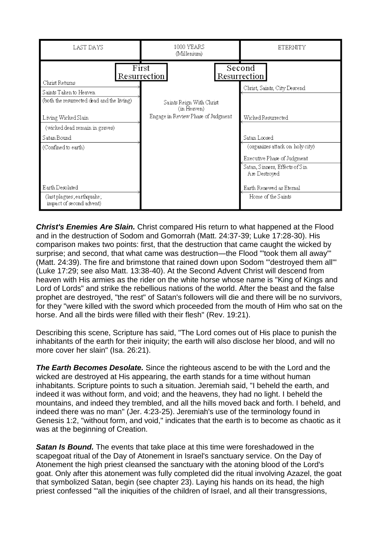| LAST DAYS                                                                                   | 1000 YEARS<br>(Millenium)                                                     | ETERNITY                                                                                                                         |
|---------------------------------------------------------------------------------------------|-------------------------------------------------------------------------------|----------------------------------------------------------------------------------------------------------------------------------|
| Christ Returns<br>Saints Taken to Heaven.<br>(both the resurrected dead and the living)     | First<br>Resurrection                                                         | Second<br>Resurrection<br>Christ, Saints, City Descend                                                                           |
| Living Wicked Slain<br>(wicked dead remain in graves)<br>Satan Bound<br>(Confined to earth) | Saints Reign With Christ<br>(in Heaven)<br>Engage in Review Phase of Judgment | Wicked Resurrected<br>Satan Loosed<br>(organizes attack on holy city)                                                            |
| Earth Desolated<br>(last plagues; earthquake;<br>impact of second advent)                   |                                                                               | Executive Phase of Judgment<br>Satan, Sinners, Effects of Sin<br>Are Destroyed<br>Earth Renewed as Eternal<br>Home of the Saints |

*Christ's Enemies Are Slain.* Christ compared His return to what happened at the Flood and in the destruction of Sodom and Gomorrah (Matt. 24:37-39; Luke 17:28-30). His comparison makes two points: first, that the destruction that came caught the wicked by surprise; and second, that what came was destruction—the Flood "'took them all away'" (Matt. 24:39). The fire and brimstone that rained down upon Sodom "'destroyed them all'" (Luke 17:29; see also Matt. 13:38-40). At the Second Advent Christ will descend from heaven with His armies as the rider on the white horse whose name is "King of Kings and Lord of Lords" and strike the rebellious nations of the world. After the beast and the false prophet are destroyed, "the rest" of Satan's followers will die and there will be no survivors, for they "were killed with the sword which proceeded from the mouth of Him who sat on the horse. And all the birds were filled with their flesh" (Rev. 19:21).

Describing this scene, Scripture has said, "The Lord comes out of His place to punish the inhabitants of the earth for their iniquity; the earth will also disclose her blood, and will no more cover her slain" (Isa. 26:21).

*The Earth Becomes Desolate.* Since the righteous ascend to be with the Lord and the wicked are destroyed at His appearing, the earth stands for a time without human inhabitants. Scripture points to such a situation. Jeremiah said, "I beheld the earth, and indeed it was without form, and void; and the heavens, they had no light. I beheld the mountains, and indeed they trembled, and all the hills moved back and forth. I beheld, and indeed there was no man" (Jer. 4:23-25). Jeremiah's use of the terminology found in Genesis 1:2, "without form, and void," indicates that the earth is to become as chaotic as it was at the beginning of Creation.

*Satan Is Bound.* The events that take place at this time were foreshadowed in the scapegoat ritual of the Day of Atonement in Israel's sanctuary service. On the Day of Atonement the high priest cleansed the sanctuary with the atoning blood of the Lord's goat. Only after this atonement was fully completed did the ritual involving Azazel, the goat that symbolized Satan, begin (see chapter 23). Laying his hands on its head, the high priest confessed "'all the iniquities of the children of Israel, and all their transgressions,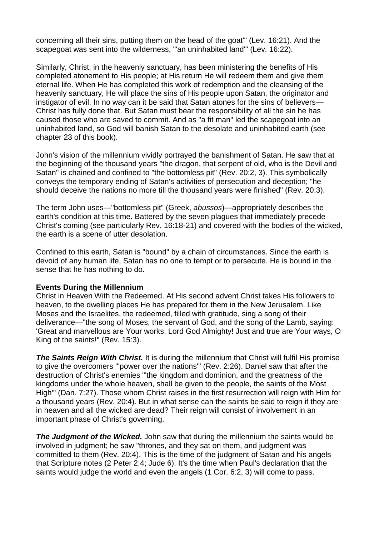concerning all their sins, putting them on the head of the goat'" (Lev. 16:21). And the scapegoat was sent into the wilderness, "'an uninhabited land'" (Lev. 16:22).

Similarly, Christ, in the heavenly sanctuary, has been ministering the benefits of His completed atonement to His people; at His return He will redeem them and give them eternal life. When He has completed this work of redemption and the cleansing of the heavenly sanctuary, He will place the sins of His people upon Satan, the originator and instigator of evil. In no way can it be said that Satan atones for the sins of believers— Christ has fully done that. But Satan must bear the responsibility of all the sin he has caused those who are saved to commit. And as "a fit man" led the scapegoat into an uninhabited land, so God will banish Satan to the desolate and uninhabited earth (see chapter 23 of this book).

John's vision of the millennium vividly portrayed the banishment of Satan. He saw that at the beginning of the thousand years "the dragon, that serpent of old, who is the Devil and Satan" is chained and confined to "the bottomless pit" (Rev. 20:2, 3). This symbolically conveys the temporary ending of Satan's activities of persecution and deception; "he should deceive the nations no more till the thousand years were finished" (Rev. 20:3).

The term John uses—"bottomless pit" (Greek, *abussos*)—appropriately describes the earth's condition at this time. Battered by the seven plagues that immediately precede Christ's coming (see particularly Rev. 16:18-21) and covered with the bodies of the wicked, the earth is a scene of utter desolation.

Confined to this earth, Satan is "bound" by a chain of circumstances. Since the earth is devoid of any human life, Satan has no one to tempt or to persecute. He is bound in the sense that he has nothing to do.

## **Events During the Millennium**

Christ in Heaven With the Redeemed. At His second advent Christ takes His followers to heaven, to the dwelling places He has prepared for them in the New Jerusalem. Like Moses and the Israelites, the redeemed, filled with gratitude, sing a song of their deliverance—"the song of Moses, the servant of God, and the song of the Lamb, saying: 'Great and marvellous are Your works, Lord God Almighty! Just and true are Your ways, O King of the saints!" (Rev. 15:3).

*The Saints Reign With Christ.* It is during the millennium that Christ will fulfil His promise to give the overcomers "'power over the nations'" (Rev. 2:26). Daniel saw that after the destruction of Christ's enemies "'the kingdom and dominion, and the greatness of the kingdoms under the whole heaven, shall be given to the people, the saints of the Most High'" (Dan. 7:27). Those whom Christ raises in the first resurrection will reign with Him for a thousand years (Rev. 20:4). But in what sense can the saints be said to reign if they are in heaven and all the wicked are dead? Their reign will consist of involvement in an important phase of Christ's governing.

**The Judgment of the Wicked.** John saw that during the millennium the saints would be involved in judgment; he saw "thrones, and they sat on them, and judgment was committed to them (Rev. 20:4). This is the time of the judgment of Satan and his angels that Scripture notes (2 Peter 2:4; Jude 6). It's the time when Paul's declaration that the saints would judge the world and even the angels (1 Cor. 6:2, 3) will come to pass.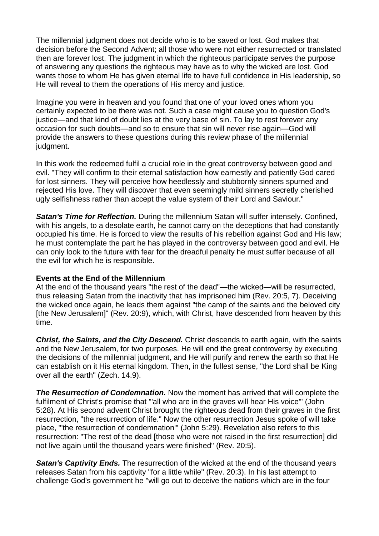The millennial judgment does not decide who is to be saved or lost. God makes that decision before the Second Advent; all those who were not either resurrected or translated then are forever lost. The judgment in which the righteous participate serves the purpose of answering any questions the righteous may have as to why the wicked are lost. God wants those to whom He has given eternal life to have full confidence in His leadership, so He will reveal to them the operations of His mercy and justice.

Imagine you were in heaven and you found that one of your loved ones whom you certainly expected to be there was not. Such a case might cause you to question God's justice—and that kind of doubt lies at the very base of sin. To lay to rest forever any occasion for such doubts—and so to ensure that sin will never rise again—God will provide the answers to these questions during this review phase of the millennial judgment.

In this work the redeemed fulfil a crucial role in the great controversy between good and evil. "They will confirm to their eternal satisfaction how earnestly and patiently God cared for lost sinners. They will perceive how heedlessly and stubbornly sinners spurned and rejected His love. They will discover that even seemingly mild sinners secretly cherished ugly selfishness rather than accept the value system of their Lord and Saviour."

*Satan's Time for Reflection.* During the millennium Satan will suffer intensely. Confined, with his angels, to a desolate earth, he cannot carry on the deceptions that had constantly occupied his time. He is forced to view the results of his rebellion against God and His law; he must contemplate the part he has played in the controversy between good and evil. He can only look to the future with fear for the dreadful penalty he must suffer because of all the evil for which he is responsible.

## **Events at the End of the Millennium**

At the end of the thousand years "the rest of the dead"—the wicked—will be resurrected, thus releasing Satan from the inactivity that has imprisoned him (Rev. 20:5, 7). Deceiving the wicked once again, he leads them against "the camp of the saints and the beloved city [the New Jerusalem]" (Rev. 20:9), which, with Christ, have descended from heaven by this time.

*Christ, the Saints, and the City Descend.* Christ descends to earth again, with the saints and the New Jerusalem, for two purposes. He will end the great controversy by executing the decisions of the millennial judgment, and He will purify and renew the earth so that He can establish on it His eternal kingdom. Then, in the fullest sense, "the Lord shall be King over all the earth" (Zech. 14.9).

*The Resurrection of Condemnation.* Now the moment has arrived that will complete the fulfilment of Christ's promise that "'all who are in the graves will hear His voice'" (John 5:28). At His second advent Christ brought the righteous dead from their graves in the first resurrection, "the resurrection of life." Now the other resurrection Jesus spoke of will take place, "'the resurrection of condemnation'" (John 5:29). Revelation also refers to this resurrection: "The rest of the dead [those who were not raised in the first resurrection] did not live again until the thousand years were finished" (Rev. 20:5).

**Satan's Captivity Ends.** The resurrection of the wicked at the end of the thousand years releases Satan from his captivity "for a little while" (Rev. 20:3). In his last attempt to challenge God's government he "will go out to deceive the nations which are in the four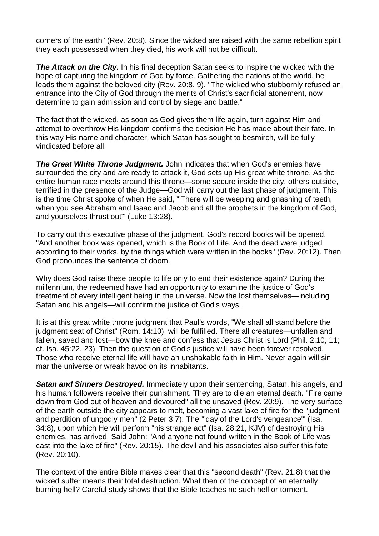corners of the earth" (Rev. 20:8). Since the wicked are raised with the same rebellion spirit they each possessed when they died, his work will not be difficult.

**The Attack on the City.** In his final deception Satan seeks to inspire the wicked with the hope of capturing the kingdom of God by force. Gathering the nations of the world, he leads them against the beloved city (Rev. 20:8, 9). "The wicked who stubbornly refused an entrance into the City of God through the merits of Christ's sacrificial atonement, now determine to gain admission and control by siege and battle."

The fact that the wicked, as soon as God gives them life again, turn against Him and attempt to overthrow His kingdom confirms the decision He has made about their fate. In this way His name and character, which Satan has sought to besmirch, will be fully vindicated before all.

*The Great White Throne Judgment.* John indicates that when God's enemies have surrounded the city and are ready to attack it, God sets up His great white throne. As the entire human race meets around this throne—some secure inside the city, others outside, terrified in the presence of the Judge—God will carry out the last phase of judgment. This is the time Christ spoke of when He said, "'There will be weeping and gnashing of teeth, when you see Abraham and Isaac and Jacob and all the prophets in the kingdom of God, and yourselves thrust out'" (Luke 13:28).

To carry out this executive phase of the judgment, God's record books will be opened. "And another book was opened, which is the Book of Life. And the dead were judged according to their works, by the things which were written in the books" (Rev. 20:12). Then God pronounces the sentence of doom.

Why does God raise these people to life only to end their existence again? During the millennium, the redeemed have had an opportunity to examine the justice of God's treatment of every intelligent being in the universe. Now the lost themselves—including Satan and his angels—will confirm the justice of God's ways.

It is at this great white throne judgment that Paul's words, "We shall all stand before the judgment seat of Christ" (Rom. 14:10), will be fulfilled. There all creatures—unfallen and fallen, saved and lost—bow the knee and confess that Jesus Christ is Lord (Phil. 2:10, 11; cf. Isa. 45:22, 23). Then the question of God's justice will have been forever resolved. Those who receive eternal life will have an unshakable faith in Him. Never again will sin mar the universe or wreak havoc on its inhabitants.

*Satan and Sinners Destroyed.* Immediately upon their sentencing, Satan, his angels, and his human followers receive their punishment. They are to die an eternal death. "Fire came down from God out of heaven and devoured" all the unsaved (Rev. 20:9). The very surface of the earth outside the city appears to melt, becoming a vast lake of fire for the "judgment and perdition of ungodly men" (2 Peter 3:7). The "'day of the Lord's vengeance'" (Isa. 34:8), upon which He will perform "his strange act" (Isa. 28:21, KJV) of destroying His enemies, has arrived. Said John: "And anyone not found written in the Book of Life was cast into the lake of fire" (Rev. 20:15). The devil and his associates also suffer this fate (Rev. 20:10).

The context of the entire Bible makes clear that this "second death" (Rev. 21:8) that the wicked suffer means their total destruction. What then of the concept of an eternally burning hell? Careful study shows that the Bible teaches no such hell or torment.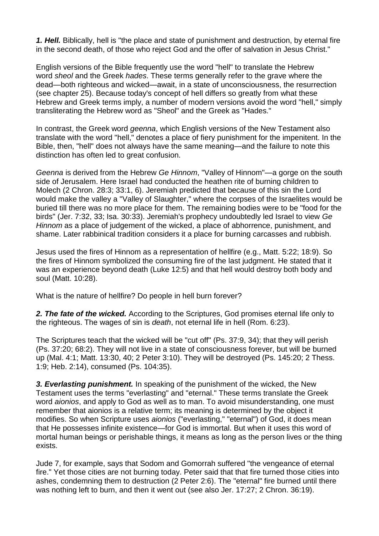*1. Hell.* Biblically, hell is "the place and state of punishment and destruction, by eternal fire in the second death, of those who reject God and the offer of salvation in Jesus Christ."

English versions of the Bible frequently use the word "hell" to translate the Hebrew word *sheol* and the Greek *hades*. These terms generally refer to the grave where the dead—both righteous and wicked—await, in a state of unconsciousness, the resurrection (see chapter 25). Because today's concept of hell differs so greatly from what these Hebrew and Greek terms imply, a number of modern versions avoid the word "hell," simply transliterating the Hebrew word as "Sheol" and the Greek as "Hades."

In contrast, the Greek word *geenna*, which English versions of the New Testament also translate with the word "hell," denotes a place of fiery punishment for the impenitent. In the Bible, then, "hell" does not always have the same meaning—and the failure to note this distinction has often led to great confusion.

*Geenna* is derived from the Hebrew *Ge Hinnom*, "Valley of Hinnom"—a gorge on the south side of Jerusalem. Here Israel had conducted the heathen rite of burning children to Molech (2 Chron. 28:3; 33:1, 6). Jeremiah predicted that because of this sin the Lord would make the valley a "Valley of Slaughter," where the corpses of the Israelites would be buried till there was no more place for them. The remaining bodies were to be "food for the birds" (Jer. 7:32, 33; Isa. 30:33). Jeremiah's prophecy undoubtedly led Israel to view *Ge Hinnom* as a place of judgement of the wicked, a place of abhorrence, punishment, and shame. Later rabbinical tradition considers it a place for burning carcasses and rubbish.

Jesus used the fires of Hinnom as a representation of hellfire (e.g., Matt. 5:22; 18:9). So the fires of Hinnom symbolized the consuming fire of the last judgment. He stated that it was an experience beyond death (Luke 12:5) and that hell would destroy both body and soul (Matt. 10:28).

What is the nature of hellfire? Do people in hell burn forever?

*2. The fate of the wicked.* According to the Scriptures, God promises eternal life only to the righteous. The wages of sin is *death*, not eternal life in hell (Rom. 6:23).

The Scriptures teach that the wicked will be "cut off" (Ps. 37:9, 34); that they will perish (Ps. 37:20; 68:2). They will not live in a state of consciousness forever, but will be burned up (Mal. 4:1; Matt. 13:30, 40; 2 Peter 3:10). They will be destroyed (Ps. 145:20; 2 Thess. 1:9; Heb. 2:14), consumed (Ps. 104:35).

*3. Everlasting punishment.* In speaking of the punishment of the wicked, the New Testament uses the terms "everlasting" and "eternal." These terms translate the Greek word *aionios*, and apply to God as well as to man. To avoid misunderstanding, one must remember that aionios is a relative term; its meaning is determined by the object it modifies. So when Scripture uses *aionios* ("everlasting," "eternal") of God, it does mean that He possesses infinite existence—for God is immortal. But when it uses this word of mortal human beings or perishable things, it means as long as the person lives or the thing exists.

Jude 7, for example, says that Sodom and Gomorrah suffered "the vengeance of eternal fire." Yet those cities are not burning today. Peter said that that fire turned those cities into ashes, condemning them to destruction (2 Peter 2:6). The "eternal" fire burned until there was nothing left to burn, and then it went out (see also Jer. 17:27; 2 Chron. 36:19).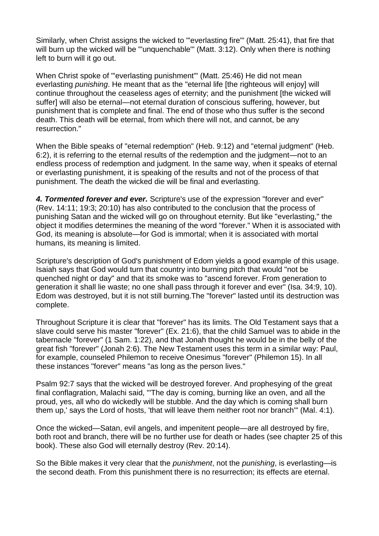Similarly, when Christ assigns the wicked to "'everlasting fire'" (Matt. 25:41), that fire that will burn up the wicked will be "'unquenchable'" (Matt. 3:12). Only when there is nothing left to burn will it go out.

When Christ spoke of "'everlasting punishment'" (Matt. 25:46) He did not mean everlasting *punishing*. He meant that as the "eternal life [the righteous will enjoy] will continue throughout the ceaseless ages of eternity; and the punishment [the wicked will suffer] will also be eternal—not eternal duration of conscious suffering, however, but punishment that is complete and final. The end of those who thus suffer is the second death. This death will be eternal, from which there will not, and cannot, be any resurrection."

When the Bible speaks of "eternal redemption" (Heb. 9:12) and "eternal judgment" (Heb. 6:2), it is referring to the eternal results of the redemption and the judgment—not to an endless process of redemption and judgment. In the same way, when it speaks of eternal or everlasting punishment, it is speaking of the results and not of the process of that punishment. The death the wicked die will be final and everlasting.

*4. Tormented forever and ever.* Scripture's use of the expression "forever and ever" (Rev. 14:11; 19:3; 20:10) has also contributed to the conclusion that the process of punishing Satan and the wicked will go on throughout eternity. But like "everlasting," the object it modifies determines the meaning of the word "forever." When it is associated with God, its meaning is absolute—for God is immortal; when it is associated with mortal humans, its meaning is limited.

Scripture's description of God's punishment of Edom yields a good example of this usage. Isaiah says that God would turn that country into burning pitch that would "not be quenched night or day" and that its smoke was to "ascend forever. From generation to generation it shall lie waste; no one shall pass through it forever and ever" (Isa. 34:9, 10). Edom was destroyed, but it is not still burning.The "forever" lasted until its destruction was complete.

Throughout Scripture it is clear that "forever" has its limits. The Old Testament says that a slave could serve his master "forever" (Ex. 21:6), that the child Samuel was to abide in the tabernacle "forever" (1 Sam. 1:22), and that Jonah thought he would be in the belly of the great fish "forever" (Jonah 2:6). The New Testament uses this term in a similar way: Paul, for example, counseled Philemon to receive Onesimus "forever" (Philemon 15). In all these instances "forever" means "as long as the person lives."

Psalm 92:7 says that the wicked will be destroyed forever. And prophesying of the great final conflagration, Malachi said, "'The day is coming, burning like an oven, and all the proud, yes, all who do wickedly will be stubble. And the day which is coming shall burn them up,' says the Lord of hosts, 'that will leave them neither root nor branch'" (Mal. 4:1).

Once the wicked—Satan, evil angels, and impenitent people—are all destroyed by fire, both root and branch, there will be no further use for death or hades (see chapter 25 of this book). These also God will eternally destroy (Rev. 20:14).

So the Bible makes it very clear that the *punishment*, not the *punishing*, is everlasting—is the second death. From this punishment there is no resurrection; its effects are eternal.